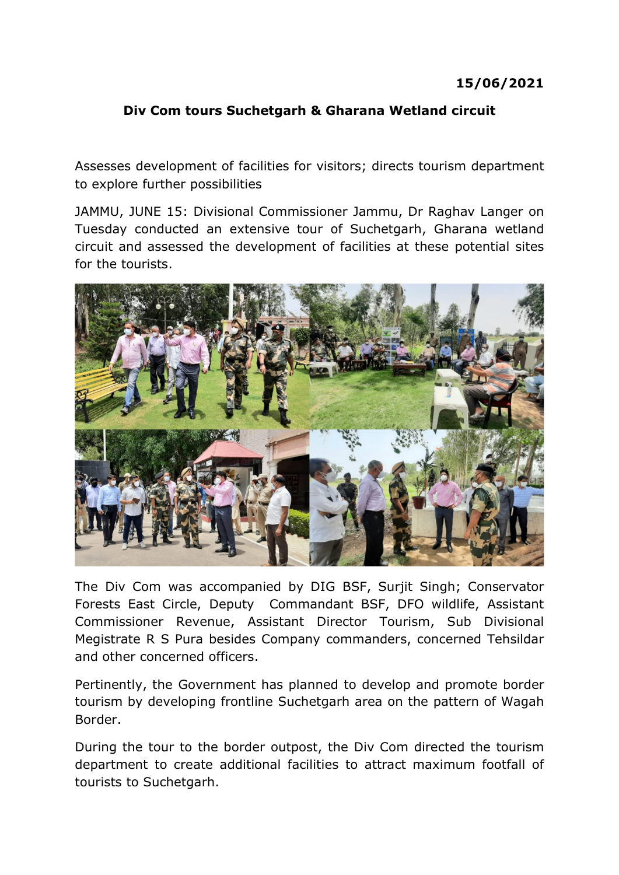## 15/06/2021

## Div Com tours Suchetgarh & Gharana Wetland circuit

Assesses development of facilities for visitors; directs tourism department to explore further possibilities

JAMMU, JUNE 15: Divisional Commissioner Jammu, Dr Raghav Langer on Tuesday conducted an extensive tour of Suchetgarh, Gharana wetland circuit and assessed the development of facilities at these potential sites for the tourists.



The Div Com was accompanied by DIG BSF, Surjit Singh; Conservator Forests East Circle, Deputy Commandant BSF, DFO wildlife, Assistant Commissioner Revenue, Assistant Director Tourism, Sub Divisional Megistrate R S Pura besides Company commanders, concerned Tehsildar and other concerned officers.

Pertinently, the Government has planned to develop and promote border tourism by developing frontline Suchetgarh area on the pattern of Wagah Border.

During the tour to the border outpost, the Div Com directed the tourism department to create additional facilities to attract maximum footfall of tourists to Suchetgarh.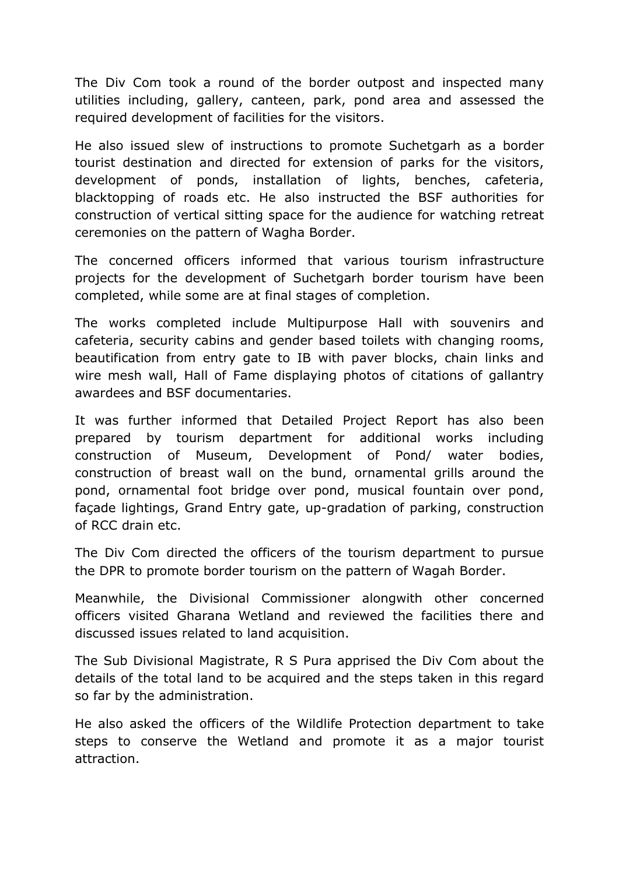The Div Com took a round of the border outpost and inspected many utilities including, gallery, canteen, park, pond area and assessed the required development of facilities for the visitors.

He also issued slew of instructions to promote Suchetgarh as a border tourist destination and directed for extension of parks for the visitors, development of ponds, installation of lights, benches, cafeteria, blacktopping of roads etc. He also instructed the BSF authorities for construction of vertical sitting space for the audience for watching retreat ceremonies on the pattern of Wagha Border.

The concerned officers informed that various tourism infrastructure projects for the development of Suchetgarh border tourism have been completed, while some are at final stages of completion.

The works completed include Multipurpose Hall with souvenirs and cafeteria, security cabins and gender based toilets with changing rooms, beautification from entry gate to IB with paver blocks, chain links and wire mesh wall, Hall of Fame displaying photos of citations of gallantry awardees and BSF documentaries.

It was further informed that Detailed Project Report has also been prepared by tourism department for additional works including construction of Museum, Development of Pond/ water bodies, construction of breast wall on the bund, ornamental grills around the pond, ornamental foot bridge over pond, musical fountain over pond, façade lightings, Grand Entry gate, up-gradation of parking, construction of RCC drain etc.

The Div Com directed the officers of the tourism department to pursue the DPR to promote border tourism on the pattern of Wagah Border.

Meanwhile, the Divisional Commissioner alongwith other concerned officers visited Gharana Wetland and reviewed the facilities there and discussed issues related to land acquisition.

The Sub Divisional Magistrate, R S Pura apprised the Div Com about the details of the total land to be acquired and the steps taken in this regard so far by the administration.

He also asked the officers of the Wildlife Protection department to take steps to conserve the Wetland and promote it as a major tourist attraction.